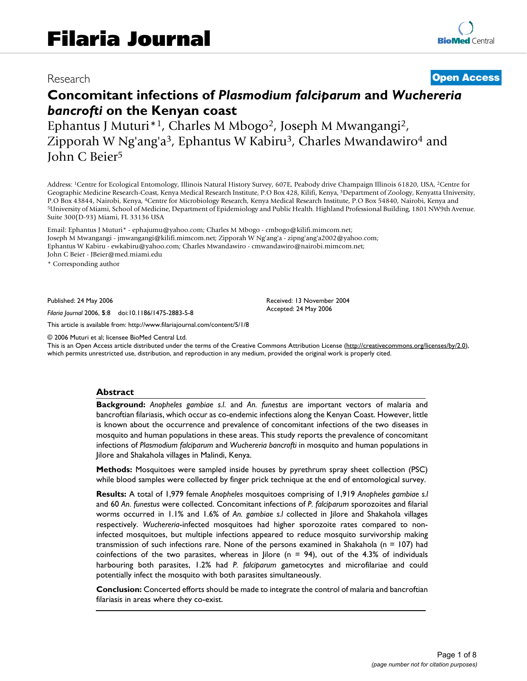# Research **[Open Access](http://www.biomedcentral.com/info/about/charter/)**

# **Concomitant infections of** *Plasmodium falciparum* **and** *Wuchereria bancrofti* **on the Kenyan coast**

Ephantus J Muturi\*1, Charles M Mbogo2, Joseph M Mwangangi2, Zipporah W Ng'ang'a<sup>3</sup>, Ephantus W Kabiru<sup>3</sup>, Charles Mwandawiro<sup>4</sup> and John C Beier5

Address: 1Centre for Ecological Entomology, Illinois Natural History Survey, 607E, Peabody drive Champaign Illinois 61820, USA, 2Centre for Geographic Medicine Research-Coast, Kenya Medical Research Institute, P.O Box 428, Kilifi, Kenya, <sup>3</sup>Department of Zoology, Kenyatta University, P.O Box 43844, Nairobi, Kenya, <sup>4</sup>Centre for Microbiology Research, Kenya Med <sup>5</sup>University of Miami, School of Medicine, Department of Epidemiology and Public Health. Highland Professional Building, 1801 NW9th Avenue. Suite 300(D-93) Miami, FL 33136 USA

Email: Ephantus J Muturi\* - ephajumu@yahoo.com; Charles M Mbogo - cmbogo@kilifi.mimcom.net; Joseph M Mwangangi - jmwangangi@kilifi.mimcom.net; Zipporah W Ng'ang'a - zipng'ang'a2002@yahoo.com; Ephantus W Kabiru - ewkabiru@yahoo.com; Charles Mwandawiro - cmwandawiro@nairobi.mimcom.net; John C Beier - JBeier@med.miami.edu

\* Corresponding author

Published: 24 May 2006

*Filaria Journal* 2006, **5**:8 doi:10.1186/1475-2883-5-8

[This article is available from: http://www.filariajournal.com/content/5/1/8](http://www.filariajournal.com/content/5/1/8)

© 2006 Muturi et al; licensee BioMed Central Ltd.

This is an Open Access article distributed under the terms of the Creative Commons Attribution License [\(http://creativecommons.org/licenses/by/2.0\)](http://creativecommons.org/licenses/by/2.0), which permits unrestricted use, distribution, and reproduction in any medium, provided the original work is properly cited.

Received: 13 November 2004 Accepted: 24 May 2006

#### **Abstract**

**Background:** *Anopheles gambiae s.l*. and *An. funestus* are important vectors of malaria and bancroftian filariasis, which occur as co-endemic infections along the Kenyan Coast. However, little is known about the occurrence and prevalence of concomitant infections of the two diseases in mosquito and human populations in these areas. This study reports the prevalence of concomitant infections of *Plasmodium falciparum* and *Wuchereria bancrofti* in mosquito and human populations in Jilore and Shakahola villages in Malindi, Kenya.

**Methods:** Mosquitoes were sampled inside houses by pyrethrum spray sheet collection (PSC) while blood samples were collected by finger prick technique at the end of entomological survey.

**Results:** A total of 1,979 female *Anopheles* mosquitoes comprising of 1,919 *Anopheles gambiae s.l* and 60 *An. funestus* were collected. Concomitant infections of *P. falciparum* sporozoites and filarial worms occurred in 1.1% and 1.6% of *An. gambiae s.l* collected in Jilore and Shakahola villages respectively. *Wuchereria*-infected mosquitoes had higher sporozoite rates compared to noninfected mosquitoes, but multiple infections appeared to reduce mosquito survivorship making transmission of such infections rare. None of the persons examined in Shakahola ( $n = 107$ ) had coinfections of the two parasites, whereas in Jilore ( $n = 94$ ), out of the 4.3% of individuals harbouring both parasites, 1.2% had *P. falciparum* gametocytes and microfilariae and could potentially infect the mosquito with both parasites simultaneously.

**Conclusion:** Concerted efforts should be made to integrate the control of malaria and bancroftian filariasis in areas where they co-exist.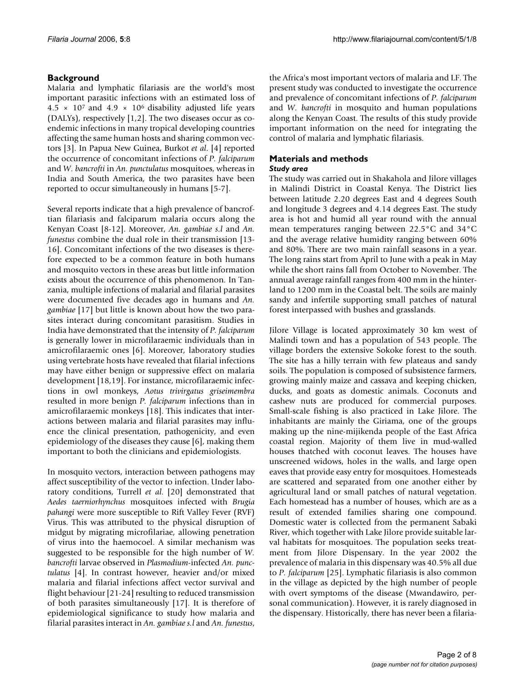# **Background**

Malaria and lymphatic filariasis are the world's most important parasitic infections with an estimated loss of  $4.5 \times 10^7$  and  $4.9 \times 10^6$  disability adjusted life years (DALYs), respectively [1,2]. The two diseases occur as coendemic infections in many tropical developing countries affecting the same human hosts and sharing common vectors [3]. In Papua New Guinea, Burkot *et al*. [4] reported the occurrence of concomitant infections of *P. falciparum* and *W. bancrofti* in *An. punctulatus* mosquitoes, whereas in India and South America, the two parasites have been reported to occur simultaneously in humans [5-7].

Several reports indicate that a high prevalence of bancroftian filariasis and falciparum malaria occurs along the Kenyan Coast [8-12]. Moreover, *An. gambiae s.l* and *An. funestus* combine the dual role in their transmission [\[13](#page-7-0)- 16]. Concomitant infections of the two diseases is therefore expected to be a common feature in both humans and mosquito vectors in these areas but little information exists about the occurrence of this phenomenon. In Tanzania, multiple infections of malarial and filarial parasites were documented five decades ago in humans and *An. gambiae* [17] but little is known about how the two parasites interact during concomitant parasitism. Studies in India have demonstrated that the intensity of *P. falciparum* is generally lower in microfilaraemic individuals than in amicrofilaraemic ones [6]. Moreover, laboratory studies using vertebrate hosts have revealed that filarial infections may have either benign or suppressive effect on malaria development [\[18,](#page-7-1)19]. For instance, microfilaraemic infections in owl monkeys, *Aotus trivirgatus griseimembra* resulted in more benign *P. falciparum* infections than in amicrofilaraemic monkeys [[18](#page-7-1)]. This indicates that interactions between malaria and filarial parasites may influence the clinical presentation, pathogenicity, and even epidemiology of the diseases they cause [6], making them important to both the clinicians and epidemiologists.

In mosquito vectors, interaction between pathogens may affect susceptibility of the vector to infection. Under laboratory conditions, Turrell *et al*. [20] demonstrated that *Aedes taerniorhynchus* mosquitoes infected with *Brugia pahangi* were more susceptible to Rift Valley Fever (RVF) Virus. This was attributed to the physical disruption of midgut by migrating microfilariae, allowing penetration of virus into the haemocoel. A similar mechanism was suggested to be responsible for the high number of *W. bancrofti* larvae observed in *Plasmodium*-infected *An. punctulatus* [4]. In contrast however, heavier and/or mixed malaria and filarial infections affect vector survival and flight behaviour [21-24] resulting to reduced transmission of both parasites simultaneously [17]. It is therefore of epidemiological significance to study how malaria and filarial parasites interact in *An. gambiae s.l* and *An. funestus*,

the Africa's most important vectors of malaria and LF. The present study was conducted to investigate the occurrence and prevalence of concomitant infections of *P. falciparum* and *W. bancrofti* in mosquito and human populations along the Kenyan Coast. The results of this study provide important information on the need for integrating the control of malaria and lymphatic filariasis.

# **Materials and methods**

#### *Study area*

The study was carried out in Shakahola and Jilore villages in Malindi District in Coastal Kenya. The District lies between latitude 2.20 degrees East and 4 degrees South and longitude 3 degrees and 4.14 degrees East. The study area is hot and humid all year round with the annual mean temperatures ranging between 22.5°C and 34°C and the average relative humidity ranging between 60% and 80%. There are two main rainfall seasons in a year. The long rains start from April to June with a peak in May while the short rains fall from October to November. The annual average rainfall ranges from 400 mm in the hinterland to 1200 mm in the Coastal belt. The soils are mainly sandy and infertile supporting small patches of natural forest interpassed with bushes and grasslands.

Jilore Village is located approximately 30 km west of Malindi town and has a population of 543 people. The village borders the extensive Sokoke forest to the south. The site has a hilly terrain with few plateaus and sandy soils. The population is composed of subsistence farmers, growing mainly maize and cassava and keeping chicken, ducks, and goats as domestic animals. Coconuts and cashew nuts are produced for commercial purposes. Small-scale fishing is also practiced in Lake Jilore. The inhabitants are mainly the Giriama, one of the groups making up the nine-mijikenda people of the East Africa coastal region. Majority of them live in mud-walled houses thatched with coconut leaves. The houses have unscreened widows, holes in the walls, and large open eaves that provide easy entry for mosquitoes. Homesteads are scattered and separated from one another either by agricultural land or small patches of natural vegetation. Each homestead has a number of houses, which are as a result of extended families sharing one compound. Domestic water is collected from the permanent Sabaki River, which together with Lake Jilore provide suitable larval habitats for mosquitoes. The population seeks treatment from Jilore Dispensary. In the year 2002 the prevalence of malaria in this dispensary was 40.5% all due to *P. falciparum* [25]. Lymphatic filariasis is also common in the village as depicted by the high number of people with overt symptoms of the disease (Mwandawiro, personal communication). However, it is rarely diagnosed in the dispensary. Historically, there has never been a filaria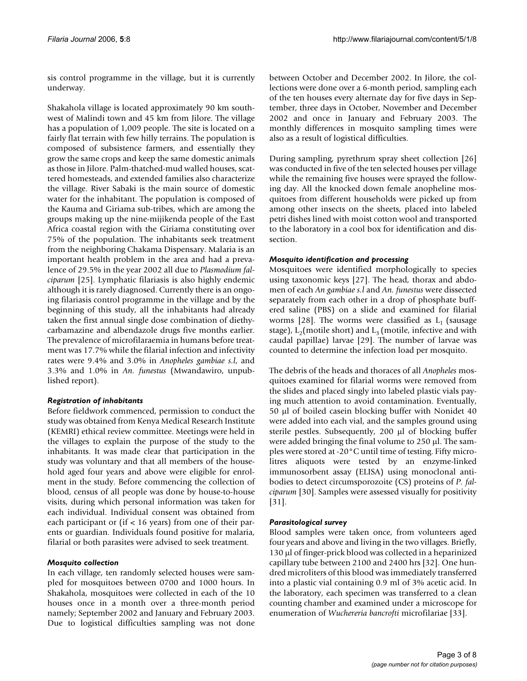sis control programme in the village, but it is currently underway.

Shakahola village is located approximately 90 km southwest of Malindi town and 45 km from Jilore. The village has a population of 1,009 people. The site is located on a fairly flat terrain with few hilly terrains. The population is composed of subsistence farmers, and essentially they grow the same crops and keep the same domestic animals as those in Jilore. Palm-thatched-mud walled houses, scattered homesteads, and extended families also characterize the village. River Sabaki is the main source of domestic water for the inhabitant. The population is composed of the Kauma and Giriama sub-tribes, which are among the groups making up the nine-mijikenda people of the East Africa coastal region with the Giriama constituting over 75% of the population. The inhabitants seek treatment from the neighboring Chakama Dispensary. Malaria is an important health problem in the area and had a prevalence of 29.5% in the year 2002 all due to *Plasmodium falciparum* [25]. Lymphatic filariasis is also highly endemic although it is rarely diagnosed. Currently there is an ongoing filariasis control programme in the village and by the beginning of this study, all the inhabitants had already taken the first annual single dose combination of diethycarbamazine and albendazole drugs five months earlier. The prevalence of microfilaraemia in humans before treatment was 17.7% while the filarial infection and infectivity rates were 9.4% and 3.0% in *Anopheles gambiae s.l*, and 3.3% and 1.0% in *An. funestus* (Mwandawiro, unpublished report).

#### *Registration of inhabitants*

Before fieldwork commenced, permission to conduct the study was obtained from Kenya Medical Research Institute (KEMRI) ethical review committee. Meetings were held in the villages to explain the purpose of the study to the inhabitants. It was made clear that participation in the study was voluntary and that all members of the household aged four years and above were eligible for enrolment in the study. Before commencing the collection of blood, census of all people was done by house-to-house visits, during which personal information was taken for each individual. Individual consent was obtained from each participant or (if < 16 years) from one of their parents or guardian. Individuals found positive for malaria, filarial or both parasites were advised to seek treatment.

#### *Mosquito collection*

In each village, ten randomly selected houses were sampled for mosquitoes between 0700 and 1000 hours. In Shakahola, mosquitoes were collected in each of the 10 houses once in a month over a three-month period namely; September 2002 and January and February 2003. Due to logistical difficulties sampling was not done between October and December 2002. In Jilore, the collections were done over a 6-month period, sampling each of the ten houses every alternate day for five days in September, three days in October, November and December 2002 and once in January and February 2003. The monthly differences in mosquito sampling times were also as a result of logistical difficulties.

During sampling, pyrethrum spray sheet collection [26] was conducted in five of the ten selected houses per village while the remaining five houses were sprayed the following day. All the knocked down female anopheline mosquitoes from different households were picked up from among other insects on the sheets, placed into labeled petri dishes lined with moist cotton wool and transported to the laboratory in a cool box for identification and dissection.

### *Mosquito identification and processing*

Mosquitoes were identified morphologically to species using taxonomic keys [27]. The head, thorax and abdomen of each *An gambiae s.l* and *An. funestus* were dissected separately from each other in a drop of phosphate buffered saline (PBS) on a slide and examined for filarial worms [28]. The worms were classified as  $L_1$  (sausage stage),  $L_2$ (motile short) and  $L_3$  (motile, infective and with caudal papillae) larvae [29]. The number of larvae was counted to determine the infection load per mosquito.

The debris of the heads and thoraces of all *Anopheles* mosquitoes examined for filarial worms were removed from the slides and placed singly into labeled plastic vials paying much attention to avoid contamination. Eventually, 50 µl of boiled casein blocking buffer with Nonidet 40 were added into each vial, and the samples ground using sterile pestles. Subsequently, 200 µl of blocking buffer were added bringing the final volume to 250 µl. The samples were stored at -20°C until time of testing. Fifty microlitres aliquots were tested by an enzyme-linked immunosorbent assay (ELISA) using monoclonal antibodies to detect circumsporozoite (CS) proteins of *P. falciparum* [[30\]](#page-7-2). Samples were assessed visually for positivity [31].

# *Parasitological survey*

Blood samples were taken once, from volunteers aged four years and above and living in the two villages. Briefly, 130 µl of finger-prick blood was collected in a heparinized capillary tube between 2100 and 2400 hrs [32]. One hundred microliters of this blood was immediately transferred into a plastic vial containing 0.9 ml of 3% acetic acid. In the laboratory, each specimen was transferred to a clean counting chamber and examined under a microscope for enumeration of *Wuchereria bancrofti* microfilariae [33].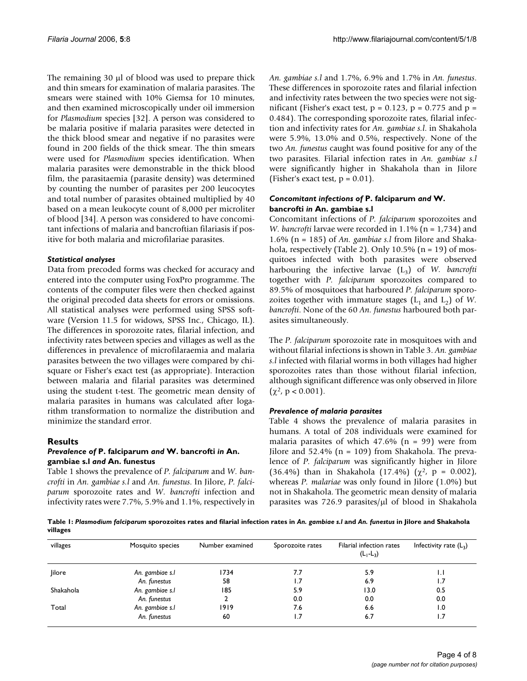The remaining 30 µl of blood was used to prepare thick and thin smears for examination of malaria parasites. The smears were stained with 10% Giemsa for 10 minutes, and then examined microscopically under oil immersion for *Plasmodium* species [32]. A person was considered to be malaria positive if malaria parasites were detected in the thick blood smear and negative if no parasites were found in 200 fields of the thick smear. The thin smears were used for *Plasmodium* species identification. When malaria parasites were demonstrable in the thick blood film, the parasitaemia (parasite density) was determined by counting the number of parasites per 200 leucocytes and total number of parasites obtained multiplied by 40 based on a mean leukocyte count of 8,000 per microliter of blood [34]. A person was considered to have concomitant infections of malaria and bancroftian filariasis if positive for both malaria and microfilariae parasites.

#### *Statistical analyses*

Data from precoded forms was checked for accuracy and entered into the computer using FoxPro programme. The contents of the computer files were then checked against the original precoded data sheets for errors or omissions. All statistical analyses were performed using SPSS software (Version 11.5 for widows, SPSS Inc., Chicago, IL). The differences in sporozoite rates, filarial infection, and infectivity rates between species and villages as well as the differences in prevalence of microfilaraemia and malaria parasites between the two villages were compared by chisquare or Fisher's exact test (as appropriate). Interaction between malaria and filarial parasites was determined using the student t-test. The geometric mean density of malaria parasites in humans was calculated after logarithm transformation to normalize the distribution and minimize the standard error.

#### **Results**

### *Prevalence of* **P. falciparum** *and* **W. bancrofti** *in* **An. gambiae s.l** *and* **An. funestus**

Table 1 shows the prevalence of *P. falciparum* and *W. bancrofti* in *An. gambiae s.l* and *An. funestus*. In Jilore, *P. falciparum* sporozoite rates and *W. bancrofti* infection and infectivity rates were 7.7%, 5.9% and 1.1%, respectively in

*An. gambiae s.l* and 1.7%, 6.9% and 1.7% in *An. funestus*. These differences in sporozoite rates and filarial infection and infectivity rates between the two species were not significant (Fisher's exact test,  $p = 0.123$ ,  $p = 0.775$  and  $p =$ 0.484). The corresponding sporozoite rates, filarial infection and infectivity rates for *An. gambiae s.l*. in Shakahola were 5.9%, 13.0% and 0.5%, respectively. None of the two *An. funestus* caught was found positive for any of the two parasites. Filarial infection rates in *An. gambiae s.l* were significantly higher in Shakahola than in Jilore (Fisher's exact test,  $p = 0.01$ ).

### *Concomitant infections of* **P. falciparum** *and* **W. bancrofti** *in* **An. gambiae s.l**

Concomitant infections of *P. falciparum* sporozoites and *W. bancrofti larvae were recorded in 1.1% (n = 1,734) and* 1.6% (n = 185) of *An. gambiae s.l* from Jilore and Shakahola, respectively (Table 2). Only  $10.5\%$  (n = 19) of mosquitoes infected with both parasites were observed harbouring the infective larvae (L3) of *W. bancrofti* together with *P. falciparum* sporozoites compared to 89.5% of mosquitoes that harboured *P. falciparum* sporozoites together with immature stages  $(L_1 \text{ and } L_2)$  of *W*. *bancrofti*. None of the 60 *An. funestus* harboured both parasites simultaneously.

The *P. falciparum* sporozoite rate in mosquitoes with and without filarial infections is shown in Table 3. *An. gambiae s.l* infected with filarial worms in both villages had higher sporozoites rates than those without filarial infection, although significant difference was only observed in Jilore  $(\chi^2, p < 0.001)$ .

#### *Prevalence of malaria parasites*

Table 4 shows the prevalence of malaria parasites in humans. A total of 208 individuals were examined for malaria parasites of which  $47.6\%$  (n = 99) were from Jilore and  $52.4\%$  (n = 109) from Shakahola. The prevalence of *P. falciparum* was significantly higher in Jilore (36.4%) than in Shakahola (17.4%) ( $\chi^2$ , p = 0.002), whereas *P. malariae* was only found in Jilore (1.0%) but not in Shakahola. The geometric mean density of malaria parasites was  $726.9$  parasites/ $\mu$ l of blood in Shakahola

**Table 1:** *Plasmodium falciparum* **sporozoites rates and filarial infection rates in** *An. gambiae s.l* **and** *An. funestus* **in Jilore and Shakahola villages**

| villages  | Mosquito species | Number examined | Sporozoite rates | Filarial infection rates<br>$(L_1-L_3)$ | Infectivity rate $(L_3)$ |
|-----------|------------------|-----------------|------------------|-----------------------------------------|--------------------------|
| lilore    | An. gambiae s.l  | 1734            | 7.7              | 5.9                                     | IJ                       |
|           | An. funestus     | 58              | 1.7              | 6.9                                     | 1.7                      |
| Shakahola | An. gambiae s.l  | 185             | 5.9              | 13.0                                    | 0.5                      |
|           | An. funestus     |                 | 0.0              | 0.0                                     | 0.0                      |
| Total     | An. gambiae s.l  | 1919            | 7.6              | 6.6                                     | 1.0                      |
|           | An. funestus     | 60              | 1.7              | 6.7                                     | 1.7                      |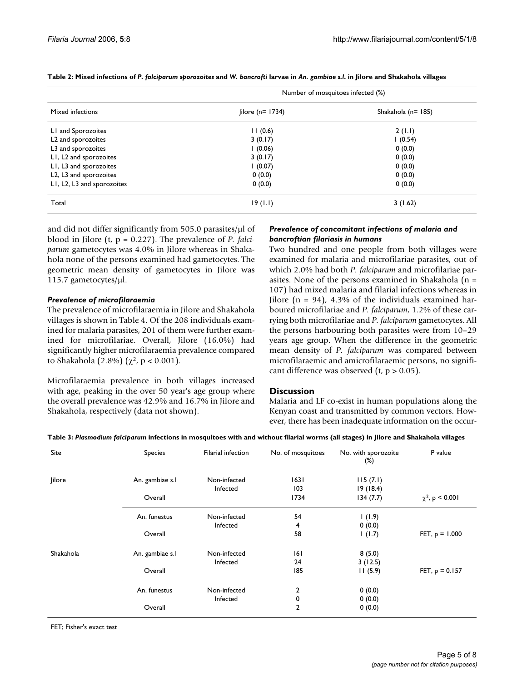|                            | Number of mosquitoes infected (%) |                    |  |  |
|----------------------------|-----------------------------------|--------------------|--|--|
| Mixed infections           | Jilore (n= 1734)                  | Shakahola (n= 185) |  |  |
| LI and Sporozoites         | 11(0.6)                           | 2(1.1)             |  |  |
| L2 and sporozoites         | 3(0.17)                           | 1(0.54)            |  |  |
| L3 and sporozoites         | 1(0.06)                           | 0(0.0)             |  |  |
| L1, L2 and sporozoites     | 3(0.17)                           | 0(0.0)             |  |  |
| LI, L3 and sporozoites     | (0.07)                            | 0(0.0)             |  |  |
| L2, L3 and sporozoites     | 0(0.0)                            | 0(0.0)             |  |  |
| LI, L2, L3 and sporozoites | 0(0.0)                            | 0(0.0)             |  |  |
| Total                      | 19(1.1)                           | 3(1.62)            |  |  |

**Table 2: Mixed infections of** *P. falciparum sporozoites* **and** *W. bancrofti* **larvae in** *An. gambiae s.l***. in Jilore and Shakahola villages**

and did not differ significantly from 505.0 parasites/µl of blood in Jilore (t, p = 0.227). The prevalence of *P. falciparum* gametocytes was 4.0% in Jilore whereas in Shakahola none of the persons examined had gametocytes. The geometric mean density of gametocytes in Jilore was 115.7 gametocytes/µl.

#### *Prevalence of microfilaraemia*

The prevalence of microfilaraemia in Jilore and Shakahola villages is shown in Table 4. Of the 208 individuals examined for malaria parasites, 201 of them were further examined for microfilariae. Overall, Jilore (16.0%) had significantly higher microfilaraemia prevalence compared to Shakahola (2.8%) (χ<sup>2</sup>, p < 0.001).

Microfilaraemia prevalence in both villages increased with age, peaking in the over 50 year's age group where the overall prevalence was 42.9% and 16.7% in Jilore and Shakahola, respectively (data not shown).

#### *Prevalence of concomitant infections of malaria and bancroftian filariasis in humans*

Two hundred and one people from both villages were examined for malaria and microfilariae parasites, out of which 2.0% had both *P. falciparum* and microfilariae parasites. None of the persons examined in Shakahola (n = 107) had mixed malaria and filarial infections whereas in Jilore ( $n = 94$ ), 4.3% of the individuals examined harboured microfilariae and *P. falciparum*, 1.2% of these carrying both microfilariae and *P. falciparum* gametocytes. All the persons harbouring both parasites were from 10–29 years age group. When the difference in the geometric mean density of *P. falciparum* was compared between microfilaraemic and amicrofilaraemic persons, no significant difference was observed (t,  $p > 0.05$ ).

#### **Discussion**

Malaria and LF co-exist in human populations along the Kenyan coast and transmitted by common vectors. However, there has been inadequate information on the occur-

**Table 3:** *Plasmodium falciparum* **infections in mosquitoes with and without filarial worms (all stages) in Jilore and Shakahola villages**

| Site          | <b>Species</b>  | Filarial infection | No. of mosquitoes | No. with sporozoite<br>$(\%)$ | P value              |
|---------------|-----------------|--------------------|-------------------|-------------------------------|----------------------|
| <b>lilore</b> | An. gambiae s.l | Non-infected       | 63                | 115(7.1)                      |                      |
|               |                 | Infected           | 103               | 19(18.4)                      |                      |
|               | Overall         |                    | 1734              | 134(7.7)                      | $\chi^2$ , p < 0.001 |
|               | An. funestus    | Non-infected       | 54                | 1(1.9)                        |                      |
|               |                 | Infected           | 4                 | 0(0.0)                        |                      |
|               | Overall         |                    | 58                | 1(1.7)                        | FET, $p = 1.000$     |
| Shakahola     | An. gambiae s.l | Non-infected       | 6                 | 8(5.0)                        |                      |
|               |                 | Infected           | 24                | 3(12.5)                       |                      |
|               | Overall         |                    | 185               | 11(5.9)                       | FET, $p = 0.157$     |
|               | An. funestus    | Non-infected       | 2                 | 0(0.0)                        |                      |
|               |                 | Infected           | 0                 | 0(0.0)                        |                      |
|               | Overall         |                    | $\overline{2}$    | 0(0.0)                        |                      |

FET; Fisher's exact test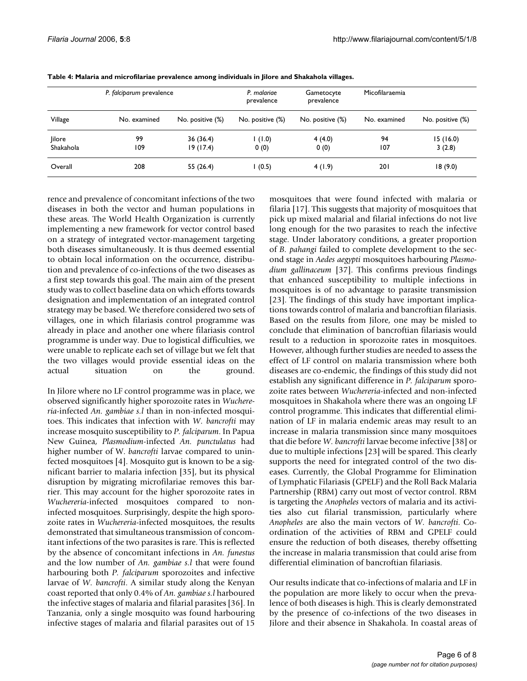| P. falciparum prevalence |              |                  | P. malariae<br>prevalence | Gametocyte<br>prevalence | Micofilaraemia |                  |
|--------------------------|--------------|------------------|---------------------------|--------------------------|----------------|------------------|
| Village                  | No. examined | No. positive (%) | No. positive (%)          | No. positive (%)         | No. examined   | No. positive (%) |
| lilore                   | 99           | 36(36.4)         | (1.0)                     | 4(4.0)                   | 94             | 15(16.0)         |
| Shakahola                | 109          | 19(17.4)         | 0(0)                      | 0(0)                     | 107            | 3(2.8)           |
| Overall                  | 208          | 55 (26.4)        | 1(0.5)                    | 4(1.9)                   | <b>201</b>     | 18(9.0)          |

**Table 4: Malaria and microfilariae prevalence among individuals in Jilore and Shakahola villages.**

rence and prevalence of concomitant infections of the two diseases in both the vector and human populations in these areas. The World Health Organization is currently implementing a new framework for vector control based on a strategy of integrated vector-management targeting both diseases simultaneously. It is thus deemed essential to obtain local information on the occurrence, distribution and prevalence of co-infections of the two diseases as a first step towards this goal. The main aim of the present study was to collect baseline data on which efforts towards designation and implementation of an integrated control strategy may be based. We therefore considered two sets of villages, one in which filariasis control programme was already in place and another one where filariasis control programme is under way. Due to logistical difficulties, we were unable to replicate each set of village but we felt that the two villages would provide essential ideas on the actual situation on the ground.

In Jilore where no LF control programme was in place, we observed significantly higher sporozoite rates in *Wuchereria*-infected *An. gambiae s.l* than in non-infected mosquitoes. This indicates that infection with *W. bancrofti* may increase mosquito susceptibility to *P. falciparum*. In Papua New Guinea, *Plasmodium*-infected *An. punctulatus* had higher number of W. *bancrofti* larvae compared to uninfected mosquitoes [4]. Mosquito gut is known to be a significant barrier to malaria infection [35], but its physical disruption by migrating microfilariae removes this barrier. This may account for the higher sporozoite rates in *Wuchereria*-infected mosquitoes compared to noninfected mosquitoes. Surprisingly, despite the high sporozoite rates in *Wuchereria*-infected mosquitoes, the results demonstrated that simultaneous transmission of concomitant infections of the two parasites is rare. This is reflected by the absence of concomitant infections in *An. funestus* and the low number of *An. gambiae s.l* that were found harbouring both *P. falciparum* sporozoites and infective larvae of *W. bancrofti*. A similar study along the Kenyan coast reported that only 0.4% of *An. gambiae s.l* harboured the infective stages of malaria and filarial parasites [36]. In Tanzania, only a single mosquito was found harbouring infective stages of malaria and filarial parasites out of 15

mosquitoes that were found infected with malaria or filaria [17]. This suggests that majority of mosquitoes that pick up mixed malarial and filarial infections do not live long enough for the two parasites to reach the infective stage. Under laboratory conditions, a greater proportion of *B. pahangi* failed to complete development to the second stage in *Aedes aegypti* mosquitoes harbouring *Plasmodium gallinaceum* [37]. This confirms previous findings that enhanced susceptibility to multiple infections in mosquitoes is of no advantage to parasite transmission [23]. The findings of this study have important implications towards control of malaria and bancroftian filariasis. Based on the results from Jilore, one may be misled to conclude that elimination of bancroftian filariasis would result to a reduction in sporozoite rates in mosquitoes. However, although further studies are needed to assess the effect of LF control on malaria transmission where both diseases are co-endemic, the findings of this study did not establish any significant difference in *P. falciparum* sporozoite rates between *Wuchereria*-infected and non-infected mosquitoes in Shakahola where there was an ongoing LF control programme. This indicates that differential elimination of LF in malaria endemic areas may result to an increase in malaria transmission since many mosquitoes that die before *W. bancrofti* larvae become infective [38] or due to multiple infections [23] will be spared. This clearly supports the need for integrated control of the two diseases. Currently, the Global Programme for Elimination of Lymphatic Filariasis (GPELF) and the Roll Back Malaria Partnership (RBM) carry out most of vector control. RBM is targeting the *Anopheles* vectors of malaria and its activities also cut filarial transmission, particularly where *Anopheles* are also the main vectors of *W. bancrofti*. Coordination of the activities of RBM and GPELF could ensure the reduction of both diseases, thereby offsetting the increase in malaria transmission that could arise from differential elimination of bancroftian filariasis.

Our results indicate that co-infections of malaria and LF in the population are more likely to occur when the prevalence of both diseases is high. This is clearly demonstrated by the presence of co-infections of the two diseases in Jilore and their absence in Shakahola. In coastal areas of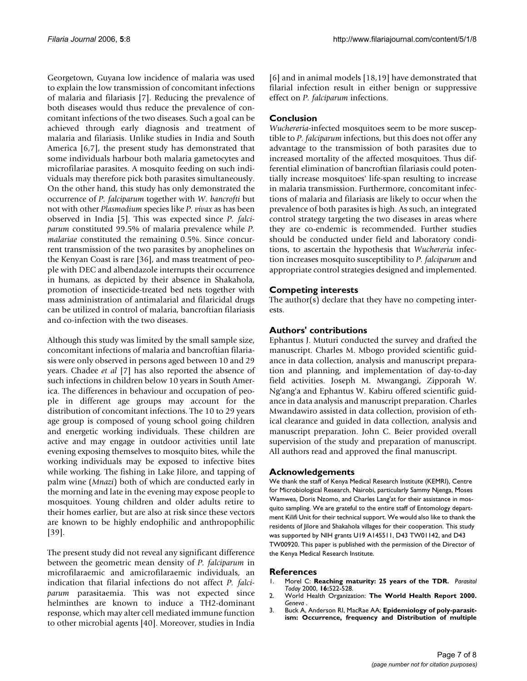Georgetown, Guyana low incidence of malaria was used to explain the low transmission of concomitant infections of malaria and filariasis [7]. Reducing the prevalence of both diseases would thus reduce the prevalence of concomitant infections of the two diseases. Such a goal can be achieved through early diagnosis and treatment of malaria and filariasis. Unlike studies in India and South America [6,7], the present study has demonstrated that some individuals harbour both malaria gametocytes and microfilariae parasites. A mosquito feeding on such individuals may therefore pick both parasites simultaneously. On the other hand, this study has only demonstrated the occurrence of *P. falciparum* together with *W. bancrofti* but not with other *Plasmodium* species like *P. vivax* as has been observed in India [5]. This was expected since *P. falciparum* constituted 99.5% of malaria prevalence while *P. malariae* constituted the remaining 0.5%. Since concurrent transmission of the two parasites by anophelines on the Kenyan Coast is rare [36], and mass treatment of people with DEC and albendazole interrupts their occurrence in humans, as depicted by their absence in Shakahola, promotion of insecticide-treated bed nets together with mass administration of antimalarial and filaricidal drugs can be utilized in control of malaria, bancroftian filariasis and co-infection with the two diseases.

Although this study was limited by the small sample size, concomitant infections of malaria and bancroftian filariasis were only observed in persons aged between 10 and 29 years. Chadee *et al* [7] has also reported the absence of such infections in children below 10 years in South America. The differences in behaviour and occupation of people in different age groups may account for the distribution of concomitant infections. The 10 to 29 years age group is composed of young school going children and energetic working individuals. These children are active and may engage in outdoor activities until late evening exposing themselves to mosquito bites, while the working individuals may be exposed to infective bites while working. The fishing in Lake Jilore, and tapping of palm wine (*Mnazi*) both of which are conducted early in the morning and late in the evening may expose people to mosquitoes. Young children and older adults retire to their homes earlier, but are also at risk since these vectors are known to be highly endophilic and anthropophilic [39].

The present study did not reveal any significant difference between the geometric mean density of *P. falciparum* in microfilaraemic and amicrofilaraemic individuals, an indication that filarial infections do not affect *P. falciparum* parasitaemia. This was not expected since helminthes are known to induce a TH2-dominant response, which may alter cell mediated immune function to other microbial agents [40]. Moreover, studies in India

[6] and in animal models [\[18](#page-7-1),19] have demonstrated that filarial infection result in either benign or suppressive effect on *P. falciparum* infections.

# **Conclusion**

*Wuchereria-*infected mosquitoes seem to be more susceptible to *P. falciparum* infections, but this does not offer any advantage to the transmission of both parasites due to increased mortality of the affected mosquitoes. Thus differential elimination of bancroftian filariasis could potentially increase mosquitoes' life-span resulting to increase in malaria transmission. Furthermore, concomitant infections of malaria and filariasis are likely to occur when the prevalence of both parasites is high. As such, an integrated control strategy targeting the two diseases in areas where they are co-endemic is recommended. Further studies should be conducted under field and laboratory conditions, to ascertain the hypothesis that *Wuchereria* infection increases mosquito susceptibility to *P. falciparum* and appropriate control strategies designed and implemented.

# **Competing interests**

The author(s) declare that they have no competing interests.

# **Authors' contributions**

Ephantus J. Muturi conducted the survey and drafted the manuscript. Charles M. Mbogo provided scientific guidance in data collection, analysis and manuscript preparation and planning, and implementation of day-to-day field activities. Joseph M. Mwangangi, Zipporah W. Ng'ang'a and Ephantus W. Kabiru offered scientific guidance in data analysis and manuscript preparation. Charles Mwandawiro assisted in data collection, provision of ethical clearance and guided in data collection, analysis and manuscript preparation. John C. Beier provided overall supervision of the study and preparation of manuscript. All authors read and approved the final manuscript.

# **Acknowledgements**

We thank the staff of Kenya Medical Research Institute (KEMRI), Centre for Microbiological Research, Nairobi, particularly Sammy Njenga, Moses Wamwea, Doris Nzomo, and Charles Lang'at for their assistance in mosquito sampling. We are grateful to the entire staff of Entomology department Kilifi Unit for their technical support. We would also like to thank the residents of Jilore and Shakahola villages for their cooperation. This study was supported by NIH grants U19 A145511, D43 TW01142, and D43 TW00920. This paper is published with the permission of the Director of the Kenya Medical Research Institute.

#### **References**

- 1. Morel C: **[Reaching maturity: 25 years of the TDR.](http://www.ncbi.nlm.nih.gov/entrez/query.fcgi?cmd=Retrieve&db=PubMed&dopt=Abstract&list_uids=11121849)** *Parasitol Today* 2000, **16:**522-528.
- 2. World Health Organization: **The World Health Report 2000.** *Geneva* .
- 3. Buck A, Anderson RI, MacRae AA: **Epidemiology of poly-parasitism: Occurrence, frequency and Distribution of multiple**